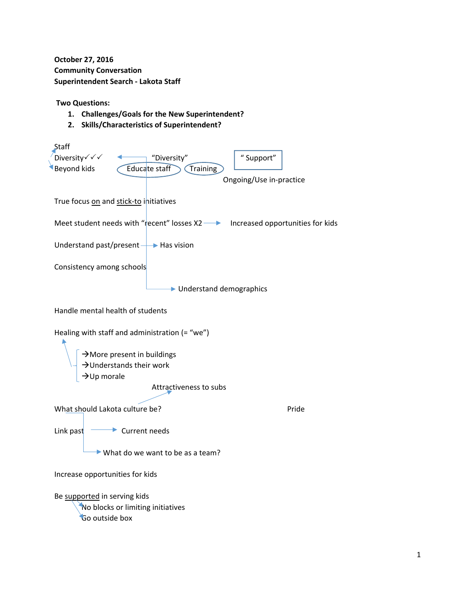**October 27, 2016 Community Conversation Superintendent Search ‐ Lakota Staff**

**Two Questions:**

- **1. Challenges/Goals for the New Superintendent?**
- **2. Skills/Characteristics of Superintendent?**

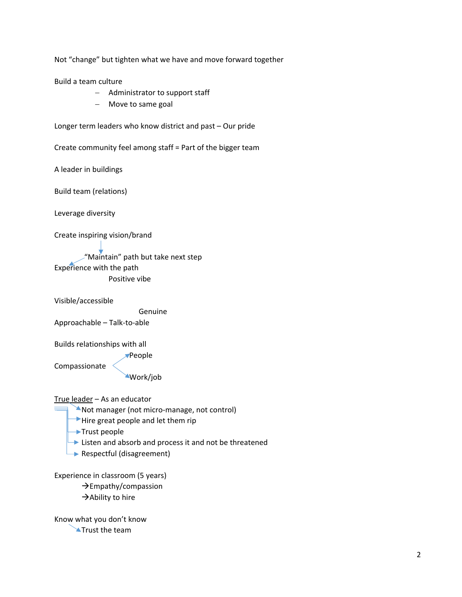Not "change" but tighten what we have and move forward together

Build a team culture

- Administrator to support staff
- Move to same goal

Longer term leaders who know district and past – Our pride

Create community feel among staff = Part of the bigger team

A leader in buildings

Build team (relations)

Leverage diversity

Create inspiring vision/brand

 "Maintain" path but take next step Experience with the path Positive vibe

Visible/accessible

 Genuine Approachable – Talk‐to‐able

Builds relationships with all

**People** 

Compassionate

Work/job

True leader – As an educator

- Not manager (not micro‐manage, not control)
- $\rightarrow$  Hire great people and let them rip
- Trust people
- **►** Listen and absorb and process it and not be threatened
- Respectful (disagreement)

Experience in classroom (5 years)

 $\rightarrow$  Empathy/compassion

 $\rightarrow$  Ability to hire

Know what you don't know **Trust the team**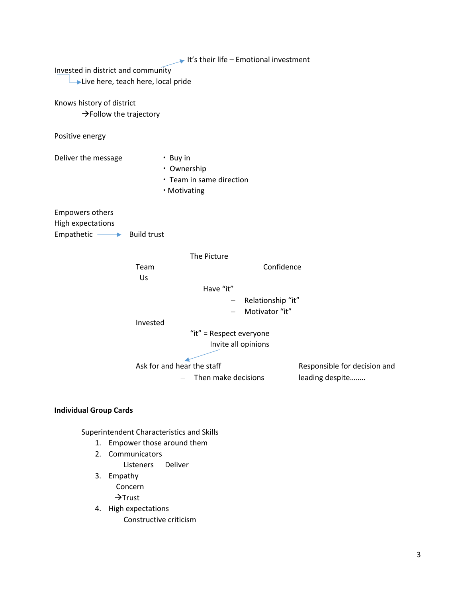|                                     |                    |                         | It's their life – Emotional investment |                 |
|-------------------------------------|--------------------|-------------------------|----------------------------------------|-----------------|
| Invested in district and community  |                    |                         |                                        |                 |
| Live here, teach here, local pride  |                    |                         |                                        |                 |
|                                     |                    |                         |                                        |                 |
| Knows history of district           |                    |                         |                                        |                 |
| $\rightarrow$ Follow the trajectory |                    |                         |                                        |                 |
| Positive energy                     |                    |                         |                                        |                 |
| Deliver the message                 | • Buy in           |                         |                                        |                 |
| • Ownership                         |                    |                         |                                        |                 |
| • Team in same direction            |                    |                         |                                        |                 |
| • Motivating                        |                    |                         |                                        |                 |
|                                     |                    |                         |                                        |                 |
| <b>Empowers others</b>              |                    |                         |                                        |                 |
| High expectations                   | <b>Build trust</b> |                         |                                        |                 |
| Empathetic $\longrightarrow$        |                    |                         |                                        |                 |
|                                     |                    | The Picture             |                                        |                 |
| Team                                |                    |                         | Confidence                             |                 |
|                                     | Us                 |                         |                                        |                 |
|                                     |                    | Have "it"               |                                        |                 |
|                                     | Relationship "it"  |                         |                                        |                 |
|                                     |                    |                         | Motivator "it"                         |                 |
|                                     | Invested           |                         |                                        |                 |
|                                     |                    | "it" = Respect everyone |                                        |                 |
| Invite all opinions                 |                    |                         |                                        |                 |
|                                     |                    |                         |                                        |                 |
| Ask for and hear the staff          |                    |                         | Responsible for decision and           |                 |
|                                     |                    | Then make decisions     |                                        | leading despite |
|                                     |                    |                         |                                        |                 |

## **Individual Group Cards**

Superintendent Characteristics and Skills

- 1. Empower those around them
- 2. Communicators

Listeners Deliver

- 3. Empathy Concern  $\rightarrow$ Trust
- 4. High expectations Constructive criticism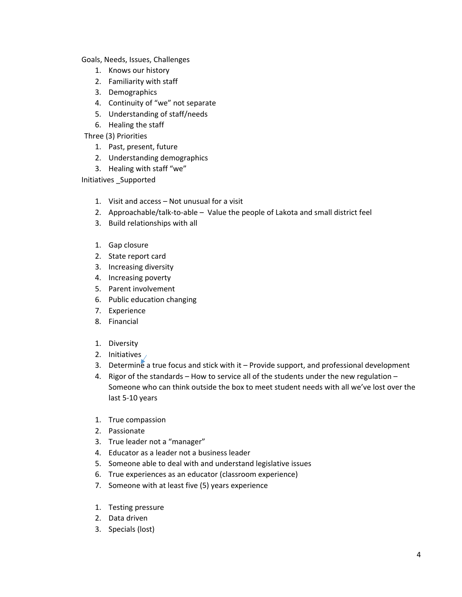Goals, Needs, Issues, Challenges

- 1. Knows our history
- 2. Familiarity with staff
- 3. Demographics
- 4. Continuity of "we" not separate
- 5. Understanding of staff/needs
- 6. Healing the staff

Three (3) Priorities

- 1. Past, present, future
- 2. Understanding demographics
- 3. Healing with staff "we"

Initiatives \_Supported

- 1. Visit and access Not unusual for a visit
- 2. Approachable/talk-to-able Value the people of Lakota and small district feel
- 3. Build relationships with all
- 1. Gap closure
- 2. State report card
- 3. Increasing diversity
- 4. Increasing poverty
- 5. Parent involvement
- 6. Public education changing
- 7. Experience
- 8. Financial
- 1. Diversity
- 2. Initiatives
- 3. Determine a true focus and stick with it Provide support, and professional development
- 4. Rigor of the standards How to service all of the students under the new regulation Someone who can think outside the box to meet student needs with all we've lost over the last 5‐10 years
- 1. True compassion
- 2. Passionate
- 3. True leader not a "manager"
- 4. Educator as a leader not a business leader
- 5. Someone able to deal with and understand legislative issues
- 6. True experiences as an educator (classroom experience)
- 7. Someone with at least five (5) years experience
- 1. Testing pressure
- 2. Data driven
- 3. Specials (lost)